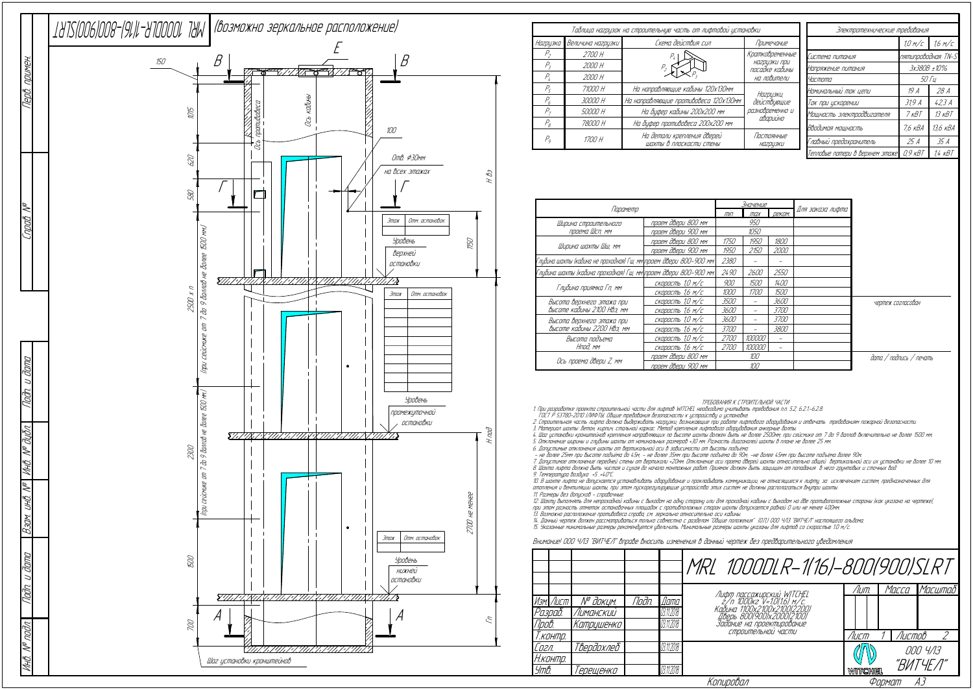|                                                                    | Значение           |             |        |               |                  |
|--------------------------------------------------------------------|--------------------|-------------|--------|---------------|------------------|
| Параметр                                                           |                    |             | max    | <b>ДЕКОМ.</b> | Для заказа лифта |
| Ширина строительного                                               | проем двери 800 мм |             | 950    |               |                  |
| проема Шсп, мм                                                     | проем двери 900 мм | 1050        |        |               |                  |
|                                                                    | проем двери 800 мм | 1750        | 1950   | 1800          |                  |
| Ширина шахты Шш, мм                                                | проем двери 900 мм | 1950        | 2150   | 2000          |                  |
| Глубина шахты (кабина не проходная) Гш, мм\проем двери 800–900 мм\ | 2380               |             |        |               |                  |
| Глубина шахты (кабина проходная) Гш, мм\проем двери 800–900 мм\    | 2490               | 2600        | 2550   |               |                  |
|                                                                    | скорость 1,0 м/с   | 900         | 1500   | 1400          |                  |
| Глубина приямка Гп, мм                                             | скорость 1,6 м/с   | 1000        | 1700   | 1500          |                  |
| Высота верхнего этажа при                                          | скорость 1,0 м/с   | 3500        |        | 3600          |                  |
| Высоте кабины 2100 НВэ, мм                                         | скорость 1,6 м/с   | 3600        |        | <i>3700</i>   |                  |
| Высота верхнего этажа при                                          | скорость 1,0 м/с   | 3600        |        | <i>3700</i>   |                  |
| Высоте кабины 2200 НВэ, мм                                         | скорость 1,6 м/с   | <i>3700</i> |        | 3800          |                  |
| Высота подъема                                                     | скорость 1,0 м/с   | 2700        | 100000 |               |                  |
| Нпод. мм                                                           | скорость 1,6 м/с   | 2700        | 100000 |               |                  |
|                                                                    | проем двери 800 мм | 100         |        |               |                  |
| Ось проема двери Z, мм                                             | проем двери 900 мм | 100         |        |               |                  |

ТРЕБОВАНИЯ К СТРОИТЕЛЬНОЙ ЧАСТИ

1. При разработке проекта строительной части для лифтов WITCHEL необходимо учитывать требования <sup>п</sup>.п. 5.2, 6.2.1.-6.2.8.

ГОСТ Р 53780-2010 (ЛИФТЫ. Общие требования безопасности <sup>к</sup> устройству <sup>и</sup> установке.

2. Строительная часть лифта должна выдерживать нагрузки, возникающие при работе лифтового оборудования <sup>и</sup> отвечать требованиям пожарной безопасности.

3. Материал шахты: бетон, кирпич, стальной каркас. Метод крепления лифтового оборудования анкерные болты.

4. Шаг установки кронштейнов крепления направляющих по высоте шахты должен быть не более 2500мм, при сейсмике от 7 до 9 баллов включительно не более 1500 мм. 5. Отклонение ширины <sup>и</sup> глубины шахты от номинальных размеров +30 мм. Разность диагоналей шахты в плане не более 25 мм.

6. Допустимые отклонения шахты от вертикальной оси в зависимости от высоты подъёма:<br>– не более 25мм при высоте подъёма до 45м; – не более 35мм при высоте подъёма до 90м; -не более 45мм при высоте подъёма более 90м

7. Допустимое отклонение передней стены от вертикали +20мм. Отклонение оси проема дверей шахты относительно общей вертикальной оси их установки не более 10 мм. 8. Шахта лифта должна быть чистая <sup>и</sup> сухая до начала монтажных работ. Приямок должен быть защищен от попадания в него грунтовых <sup>и</sup> сточных вод.

9. Температура воздуха +5…+40°С.

10. В шахте лифта не допускается устанавливать оборудование <sup>и</sup> прокладывать коммуникации, не относящиеся <sup>к</sup> лифту, за исключением систем, предназначенных для отопления <sup>и</sup> вентиляции шахты, при этом пускорегулирующие устройства этих систем не должны располагаться внутри шахты. 11. Размеры без допусков - справочные.

|                |                           |                       |       |            | MRL 1000DLR-1(16)-800(900)SLRT                                                          |         |        |          |
|----------------|---------------------------|-----------------------|-------|------------|-----------------------------------------------------------------------------------------|---------|--------|----------|
|                |                           |                       |       |            |                                                                                         | /ШП.    | Macca  | Масштаб  |
|                | Изм. Лист                 | N <sup>o</sup> доким. | Toðn. | Дата       | Лифт пассажирский WITCHEL<br>2/п 1000кг V=1.0(1.6) м/с.<br>Кабина 1100x2100x2100(22.00) |         |        |          |
| Разраб.        |                           | Лиманскии             |       | 03.11.2018 | Дверь 800(900)х2000(2100)                                                               |         |        |          |
| Npo <i>b</i> . |                           | Катрушенко            |       | 03.11.2018 | Задание на проектирование                                                               |         |        |          |
| Т.контр.       |                           |                       |       |            | СТРОИТЕЛЬНОИ ЧАСТИ                                                                      | Лист    | Листов |          |
| Согл.          |                           | Твердохлеб            |       | 03.11.2018 |                                                                                         |         |        | 000 4/13 |
|                | Н.контр.                  |                       |       |            |                                                                                         |         |        | "ВИТЧЕЛ" |
| Утв.           |                           | Герещенко             |       | 03.11.2018 |                                                                                         | WITCHEL |        |          |
|                | Копировал<br>AЗ<br>Формат |                       |       |            |                                                                                         |         |        |          |

12. Шахту выполнять для непроходной кабины <sup>с</sup> выходом на одну сторону или для проходной кабины <sup>с</sup> выходом на две противоположные стороны (как указано на чертеже), при этом разность отметок остановочных площадок <sup>с</sup> противположных сторон шахты допускается равной 0 или не менее 400мм.

13. Возможно расположение противовеса справа, см. зеркально относительно оси кабины.<br>14. Данный чертеж должен рассматриваться только совместно с разделом "Общие положения" (О.П.) ООО ЧЛЗ "ВИТЧЕЛ" настоящего альбома.<br>15. У

## Внимание! ООО ЧЛЗ "ВИТЧЕЛ" вправе вносить изменения в данный чертеж без предварительного уведомления

|                            |                   | Таблица нагрузок на строительную часть от лифтовой установки | Электротехнические требования  |                                 |                    |            |
|----------------------------|-------------------|--------------------------------------------------------------|--------------------------------|---------------------------------|--------------------|------------|
| Нагрузка                   | Величина нагрузки | Схема действия сил                                           | Примечание                     |                                 | 1.0 M/c            | 1.6 M/C    |
| $P_{\scriptscriptstyle 2}$ | 2700 H            |                                                              | Кратковременные                | Система питания                 | пятипроводная TN-S |            |
| $P_{2}$                    | 2000 H            |                                                              | нагрцзки при<br>посадке кабины | Напряжение питания              | 3x380B ±10%        |            |
| $P_{\iota}$                | 2000 H            |                                                              | на ловители                    | Частота                         | <i>50 Tu</i>       |            |
| $P_{\epsilon}$             | 71000 H           | На направляющие кабины 120х130мм                             | Нагрузки,                      | Номинальный ток цепи            | 19 A               | 28 A       |
| $P_{6}$                    | 30000 H           | На направляющие противовеса 120х130мм                        | действующие                    | Ток при ускорении               | 31,9 A             | 42.3A      |
| $P_{\tau}$                 | 50000 H           | На буфер кабины 200х200 мм                                   | разновременно и<br>аварийно    | Мощность электродвигателя       | 7 <sub>K</sub> BT  | $13$ $KBT$ |
| $P_{\beta}$                | 78000 H           | На буфер противовеса 200х200 мм                              |                                | Вводимая мощность               | 7,6 кВА            | 13,6 кВА   |
| $P_q$                      | 1700 H            | На детали крепления дверей<br>шахты в плоскости стены        | Постоянные<br><b>НА2РЦЗКИ</b>  | Главный предохранитель          | 25 A               | 35 A       |
|                            |                   |                                                              |                                | Тепловые потери в верхнем этаже | $0.9$ $KBT$        | 1.4 кВТ    |

дата / подпись / печать

чертеж согласован